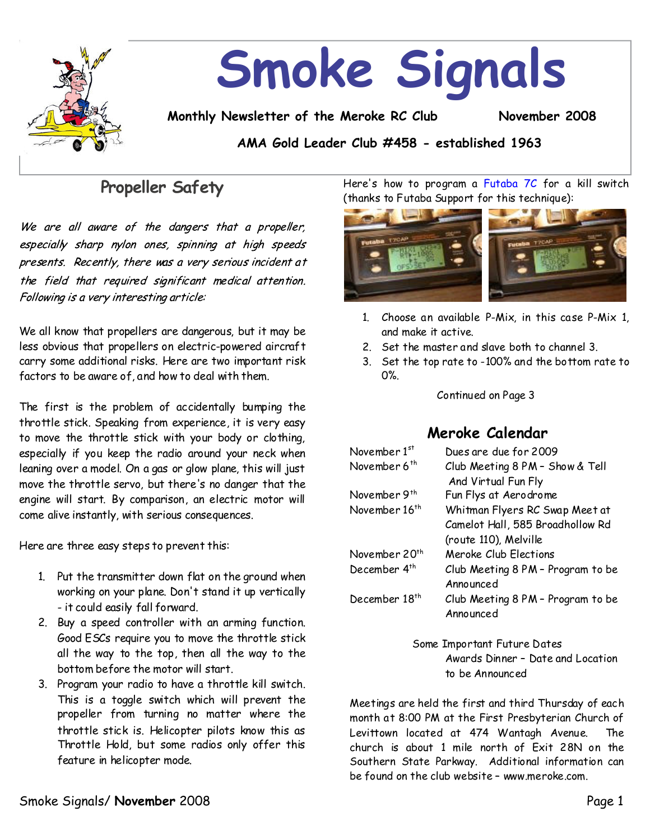

# **Propeller Safety**

We are all aware of the dangers that a propeller, especially sharp nylon ones, spinning at high speeds presents. Recently, there was a very serious incident at the field that required significant medical attention. Following is a very interesting article:

We all know that propellers are dangerous, but it may be less obvious that propellers on electric-powered aircraft carry some additional risks. Here are two important risk factors to be aware of, and how to deal with them.

The first is the problem of accidentally bumping the throttle stick. Speaking from experience, it is very easy to move the throttle stick with your body or clothing, especially if you keep the radio around your neck when leaning over a model. On a gas or glow plane, this will just move the throttle servo, but there's no danger that the engine will start. By comparison, an electric motor will come alive instantly, with serious consequences.

Here are three easy steps to prevent this:

- 1. Put the transmitter down flat on the ground when working on your plane. Don't stand it up vertically -it could easily fall forward.
- 2. Buy a speed controller with an arming function. Good ESCs require you to move the throttle stick all the way to the top, then all the way to the bottom before the motor will start.
- 3. Program your radio to have a throttle kill switch. This is a toggle switch which will prevent the propeller from turning no matter where the throttle stick is. Helicopter pilots know this as Throttle Hold, but some radios only offer this feature in helicopter mode.

Here's how to program a Futaba 7C for a kill switch (thanks to Futaba Support for this technique):



- 1. Choose an available P-Mix, in this case P-Mix 1, and make it active.
- 2. Set the master and slave both to channel 3.
- 3. Set the top rate to-100% and the bottom rate to 0%.

### Continued on Page 3

### **Meroke Calendar**

| November 1st              | Dues are due for 2009             |  |
|---------------------------|-----------------------------------|--|
| November 6 <sup>th</sup>  | Club Meeting 8 PM - Show & Tell   |  |
|                           | And Virtual Fun Fly               |  |
| November 9 <sup>th</sup>  | Fun Flys at Aerodrome             |  |
| November 16 <sup>th</sup> | Whitman Flyers RC Swap Meet at    |  |
|                           | Camelot Hall, 585 Broadhollow Rd  |  |
|                           | (route 110), Melville             |  |
| November 20 <sup>th</sup> | Meroke Club Flections             |  |
| December 4 <sup>th</sup>  | Club Meeting 8 PM - Program to be |  |
|                           | Announced                         |  |
| December 18 <sup>th</sup> | Club Meeting 8 PM - Program to be |  |
|                           | Announced                         |  |
|                           |                                   |  |

Some Important Future Dates Awards Dinner–Dateand Location to be Announced

Meetings are held the first and third Thursday of each month at 8:00 PM at the First Presbyterian Church of Levittown located at 474 Wantagh Avenue. The church is about 1 mile north of Exit 28N on the Southern State Parkway. Additional information can be found on the club website–www.meroke.com.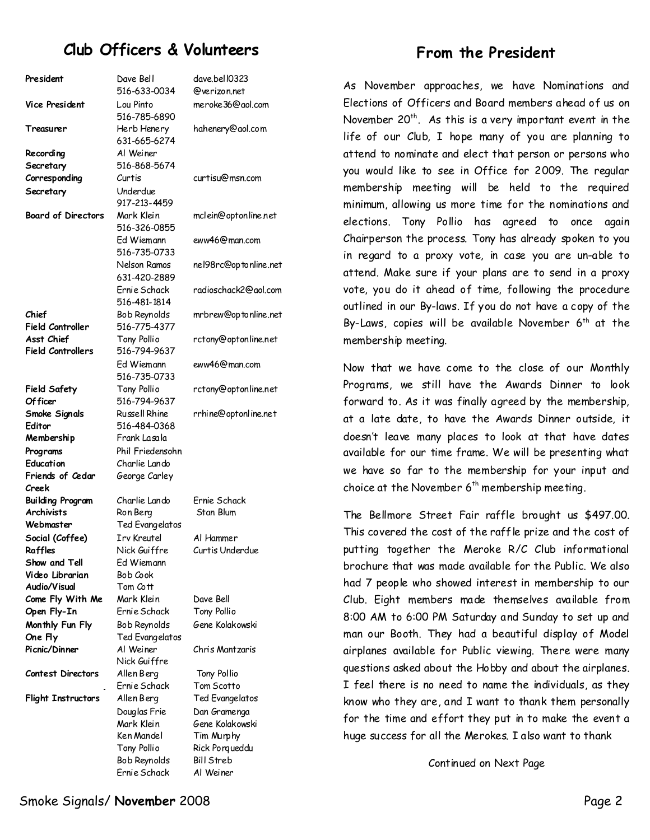# **Club Officers & Volunteers**

| President                 | Dave Bell          | dave.bel 10323        |
|---------------------------|--------------------|-----------------------|
|                           | 516-633-0034       | @verizon.net          |
| Vice President            | Lou Pinto          | meroke36@gol.com      |
|                           | 516-785-6890       |                       |
| Treasurer                 | Herb Henery        | hahenery@aol.com      |
|                           | 631-665-6274       |                       |
| Recording                 | Al Weiner          |                       |
| Secretary                 | 516-868-5674       |                       |
| Corresponding             | Curtis             | curtisu@msn.com       |
| Secretary                 | Underdue           |                       |
|                           | 917-213-4459       |                       |
| <b>Board of Directors</b> | Mark Klein         | mclein@optonline.net  |
|                           | 516-326-0855       |                       |
|                           | Ed Wiemann         | eww46@man.com         |
|                           | 516-735-0733       |                       |
|                           | Nelson Ramos       | nel98rc@optonline.net |
|                           |                    |                       |
|                           | 631-420-2889       |                       |
|                           | Ernie Schack       | radioschack2@aol.com  |
|                           | 516-481-1814       |                       |
| Chief                     | Bob Reynolds       | mrbrew@optonline.net  |
| <b>Field Controller</b>   | 516-775-4377       |                       |
| Asst Chief                | Tony Pollio        | rctony@optonline.net  |
| <b>Field Controllers</b>  | 516-794-9637       |                       |
|                           | Fd Wiemann         | eww46@man.com         |
|                           | 516-735-0733       |                       |
| <b>Field Safety</b>       | Tony Pollio        | rctony@optonline.net  |
| <b>Officer</b>            | 516-794-9637       |                       |
| Smoke Signals             | Russell Rhine      | rrhine@optonline.net  |
| Editor                    | 516-484-0368       |                       |
| Membership                | Frank Lasala       |                       |
| Programs                  | Phil Friedensohn   |                       |
| Education                 | Charlie Lando      |                       |
| Friends of Cedar          | George Carley      |                       |
| Creek                     |                    |                       |
| Building Program          | Charlie Lando      | Ernie Schack          |
| <b>Archivists</b>         | Ron Berg           | Stan Blum             |
| Webmaster                 | Ted Evangelatos    |                       |
| Social (Coffee)           | <b>Irv Kreutel</b> | Al Hammer             |
| Raffles                   | Nick Guiffre       | Curtis Underdue       |
| Show and Tell             | Ed Wiemann         |                       |
| Video Librarian           | Bob Cook           |                       |
| Audio/Visual              | Tom Cott           |                       |
| Come Fly With Me          | Mark Klein         | Dave Bell             |
| Open Fly-In               | Ernie Schack       | Tony Pollio           |
| Monthly Fun Fly           | Bob Reynolds       | Gene Kolakowski       |
| One Fly                   | Ted Evangelatos    |                       |
| Picnic/Dinner             | Al Weiner          | Chris Mantzaris       |
|                           | Nick Guiffre       |                       |
| <b>Contest Directors</b>  | Allen Berg         | Tony Pollio           |
|                           | Ernie Schack       | Tom Scotto            |
| <b>Flight Instructors</b> | Allen Berg         | Ted Evangelatos       |
|                           | Douglas Frie       | Dan Gramenga          |
|                           | Mark Klein         | Gene Kolakowski       |
|                           | Ken Mandel         | Tim Murphy            |
|                           | Tony Pollio        | Rick Porqueddu        |
|                           | Bob Reynolds       | <b>Bill Streb</b>     |
|                           | Ernie Schack       | Al Weiner             |
|                           |                    |                       |

### **From the President**

As November approaches, we have Nominations and Elections of Officers and Board members ahead of us on November  $20<sup>th</sup>$ . As this is a very important event in the life of our Club,  $I$  hope many of you are planning to attend to nominate and elect that person or persons who you would like to see in Office for 2009. The regular membership meeting will be held to the required minimum, allowing us more time for the nominations and elections. Tony Pollio has agreed to once again Chairperson the process. Tony has already spoken to you in regard to a proxy vote, in case you are un-able to attend. Make sure if your plans are to send in a proxy vote, you do it ahead of time, following the procedure outlined in our By-laws. If you do not have a copy of the By-Laws, copies will be available November  $6<sup>th</sup>$  at the membership meeting.

Now that we have come to the close of our Monthly Programs, we still have the Awards Dinner to look forward to. As it was finally agreed by the membership, at a late date, to have the Awards Dinner outside, it doesn't leave many places to look at that have dates available for our time frame. We will be presenting what we have so far to the membership for your input and choice at the November  $6<sup>th</sup>$  membership meeting.

The Bellmore Street Fair raffle brought us \$497.00. This covered the cost of the raffle prize and the cost of putting together the Meroke R/C Club informational brochure that was made available for the Public. We also had 7 people who showed interest in membership to our Club. Eight members made themselves available from 8:00 AM to 6:00 PM Saturday and Sunday to set up and man our Booth. They had a beautiful display of Model airplanes available for Public viewing. There were many questions asked about the Hobby and about the airplanes. I feel there is no need to name the individuals, as they know who they are, and I want to thank them personally for the time and effort they put in to make the event a huge success for all the Merokes. I also want to thank

Continued on Next Page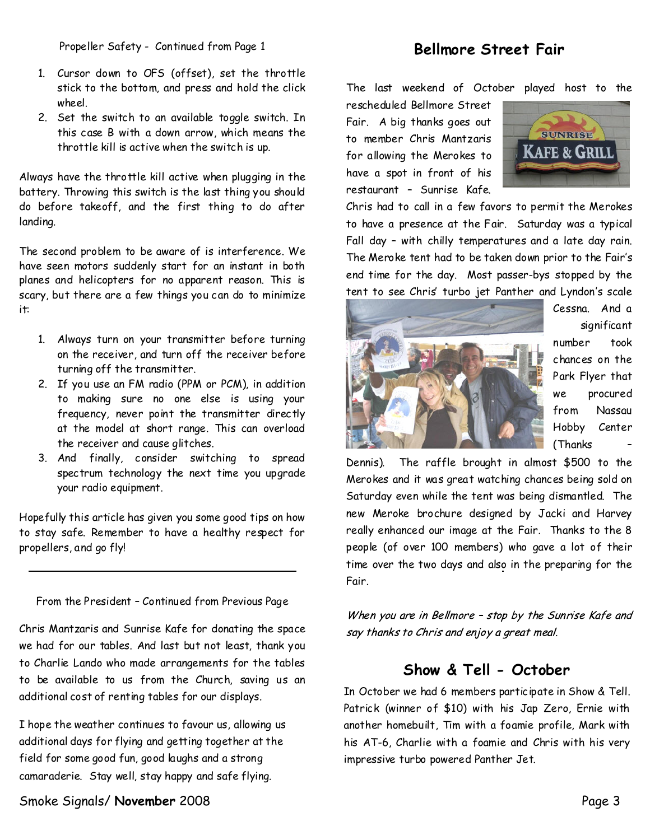Propeller Safety - Continued from Page 1 **Bellmore Street Fair** 

- 1. Cursor down to OFS (offset), set the throttle stick to the bottom, and press and hold the click wheel.
- 2. Set the switch to an available toggle switch. In this case B with a down arrow, which means the throttle kill is active when the switch is up.

Always have the throttle kill active when plugging in the battery. Throwing this switch is the last thingyou should do before takeoff, and the first thing to do after landing.

The second problem to be aware of is interference.We have seen motors suddenly start for an instant in both planes and helicopters for no apparent reason. This is scary, but there are a few things you can do to minimize it:

- 1. Always turn on your transmitter before turning on the receiver, and turn off the receiver before turning off the transmitter.
- 2. If you use an FM radio (PPM or PCM), in addition to making sure no one else is using your frequency, never point the transmitter directly at the model at short range. This can overload the receiver and cause glitches.
- 3. And finally, consider switching to spread spectrum technology the next time you upgrade your radio equipment.

Hopefully this article has given you some good tips on how to stay safe. Remember to have a healthy respect for propellers, and go fly!

From the President–Continued from Previous Page

Chris Mantzaris and Sunrise Kafe for donating the space we had for our tables. And last but not least, thank you to Charlie Lando who made arrangements for the tables to be available to us from the Church, saving us an additional cost of renting tables for our displays.

I hope the weather continues to favour us, allowing us additional days for flying and getting together at the field for some good fun, good laughs and a strong camaraderie. Stay well, stay happy and safe flying.

Smoke Signals/ **November** 2008 **Page 3** 

The last weekend of October played host to the

rescheduled Bellmore Street Fair. A big thanks goes out to member Chris Mantzaris for allowing the Merokes to have a spot in front of his restaurant – Sunrise Kafe.



Chris had to call in a few favors to permit the Merokes to have a presence at the Fair. Saturday was a typical Fall day - with chilly temperatures and a late day rain. The Meroke tent had to be taken down prior to the Fair's end time for the day. Most passer-bys stopped by the tent to see Chris' turbo jet Panther and Lyndon's scale



Cessna. And a significant number took chances on the Park Flyer that we procured from Nassau Hobby Center (Thanks –

Dennis). The raffle brought in almost \$500 to the Merokes and it was great watching chances being sold on Saturday even while the tent was being dismantled. The new Meroke brochure designed by Jacki and Harvey really enhanced our image at the Fair. Thanks to the 8 people (of over 100 members) who gave a lot of their time over the two days and also in the preparing for the Fair.

When you are in Bellmore - stop by the Sunrise Kafe and say thanks to Chris and enjoy a great meal.

# **Show & Tell-October**

In October we had 6 members participate in Show & Tell. Patrick (winner of \$10) with his Jap Zero, Ernie with another homebuilt, Tim with a foamie profile, Mark with his AT-6, Charlie with a foamie and Chris with his very impressive turbo powered Panther Jet.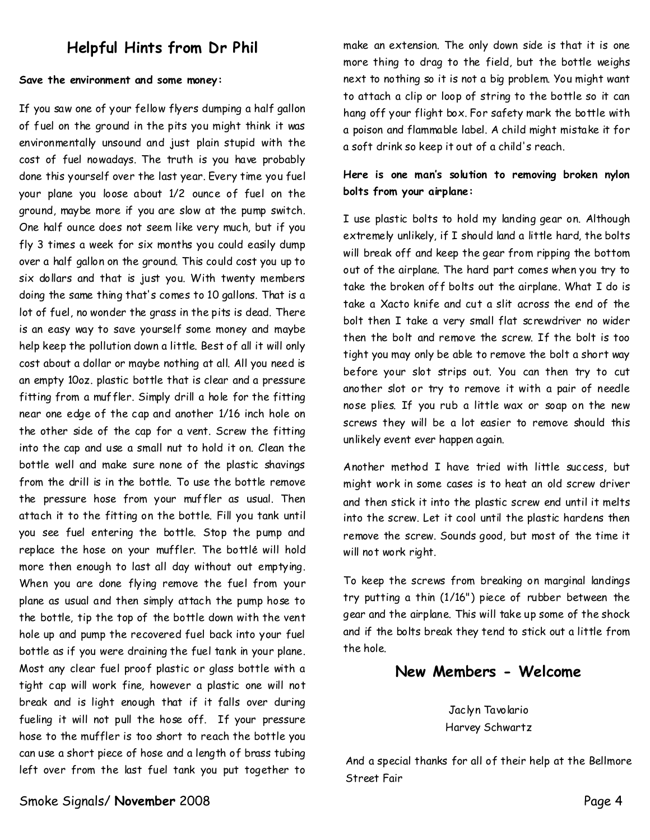# **Helpful Hints from Dr Phil**

#### **Save the environment and some money:**

If you sawone of your fellow flyers dumping a half gallon of fuel on the ground in the pits you might think it was environmentally unsound and just plain stupid with the cost of fuel nowadays. The truth is you have probably done this yourself over the last year. Every time you fuel your plane you loose about 1/2 ounce of fuel on the ground, maybe more if you are slow at the pump switch. One half ounce does not seem like very much, but if you fly 3 times a week for six months you could easily dump over a half gallon on the ground. This could cost you up to six dollars and that is just you. With twenty members doing the same thing that's comes to 10 gallons. That is a lot of fuel, no wonder the grass in the pits is dead. There is an easy way to save yourself some money and maybe help keep the pollution down a little. Best of all it will only cost about a dollar or maybe nothing at all. All you need is an empty 10oz. plastic bottle that is clear and a pressure fitting from a muffler. Simply drill a hole for the fitting near one edge of the cap and another 1/16 inch hole on the other side of the cap for a vent. Screw the fitting into the cap and use a small nut to hold it on. Clean the bottle well and make sure none of the plastic shavings from the drill is in the bottle. To use the bottle remove the pressure hose from your muffler as usual. Then attach it to the fitting on the bottle. Fill you tank until you see fuel entering the bottle. Stop the pump and replace the hose on your muffler. The bottle will hold more then enough to last all day without out emptying. When you are done flying remove the fuel from your plane as usual and then simply attach the pump hose to the bottle, tip the top of the bottle down with the vent hole up and pump the recovered fuel back into your fuel bottle as if you were draining the fuel tank in your plane. Most any clear fuel proof plastic or glass bottle with a tight cap will work fine, however a plastic one will not break and is light enough that if it falls over during fueling it will not pull the hose off. If your pressure hose to the muffler is too short to reach the bottle you can use a short piece of hose and a length of brass tubing left over from the last fuel tank you put together to

make an extension. The only down side is that it is one more thing to drag to the field, but the bottle weighs next to nothing so it is not a big problem. You might want to attach a clip or loop of string to the bottle so it can hang off your flight box. For safety mark the bottle with a poison and flammable label. A child might mistake it for a soft drink so keep it out of a child's reach.

### **Here is one man's solution to removing broken nylon bolts from your airplane:**

I use plastic bolts to hold my landing gear on. Although extremely unlikely, if I should land a little hard, the bolts will break off and keep the gear from ripping the bottom out of the airplane. The hard part comes when you try to take the broken off bolts out the airplane. What I do is take a Xacto knife and cut a slit across the end of the bolt then I take a very small flat screwdriver no wider then the bolt and remove the screw. If the bolt is too tight you may only be able to remove the bolt a short way before your slot strips out. You can then try to cut another slot or try to remove it with a pair of needle nose plies. If you rub a little wax or soap on the new screws they will be a lot easier to remove should this unlikely event ever happen again.

Another method I have tried with little success, but might work in some cases is to heat an old screw driver and then stick it into the plastic screw end until it melts into the screw. Let it cool until the plastic hardens then remove the screw. Sounds good, but most of the time it will not work right.

To keep the screws from breaking on marginal landings try putting a thin (1/16") piece of rubber between the gear and the airplane. This will take up some of the shock and if the bolts break they tend to stick out a little from the hole.

### **NewMembers-Welcome**

Jaclyn Tavolario Harvey Schwartz

And a special thanks for all of their help at the Bellmore Street Fair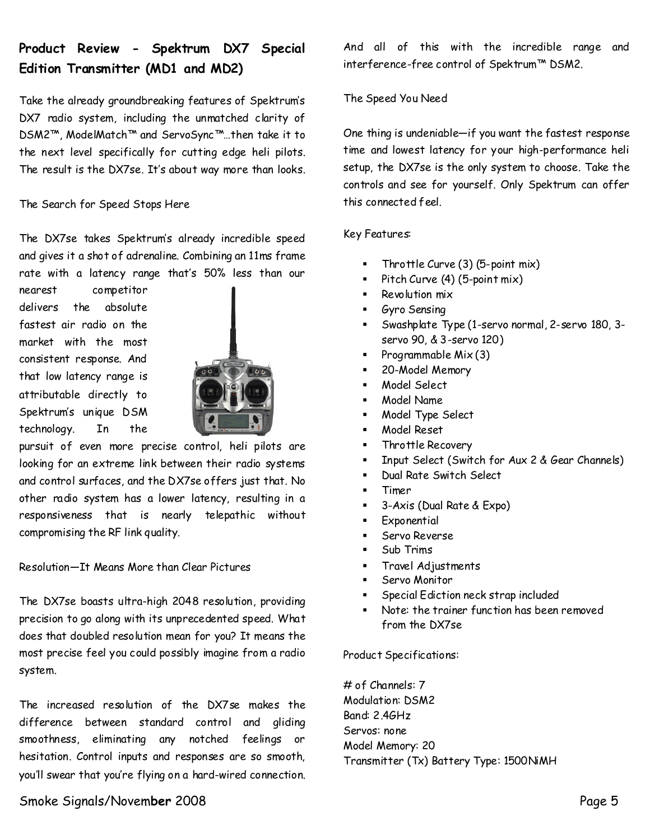# **Product Review - Spektrum DX7 Special Edition Transmitter (MD1 and MD2)**

Take the already groundbreaking features of Spektrum's DX7 radio system, including the unmatched clarity of DSM2™, ModelMatch™ and ServoSync™…then take it to the next level specifically for cutting edge heli pilots. The result is the DX7se. It's about way more than looks.

### The Search for Speed Stops Here

The DX7se takes Spektrum's already incredible speed and gives it a shot of adrenaline. Combining an 11ms frame rate with a latency range that's 50% less than our

nearest competitor delivers the absolute fastest air radio on the market with the most consistent response. And that low latency range is attributable directly to Spektrum's unique DSM technology. In the



pursuit of even more precise control, heli pilots are looking for an extreme link between their radio systems and control surfaces, and the DX7se offers just that. No other radio system has a lower latency, resulting in a responsiveness that is nearly telepathic without compromising the RF link quality.

### Resolution—It Means More than Clear Pictures

The DX7se boasts ultra-high 2048 resolution, providing precision to go along with its unprecedented speed. What does that doubled resolution mean for you? It means the most precise feel you could possibly imagine from a radio system.

The increased resolution of the DX7se makes the difference between standard control and gliding smoothness, eliminating any notched feelings or hesitation. Control inputs and responses are so smooth, you'll swear that you're flying on a hard-wired connection. And all of this with the incredible range and interference-free control of Spektrum™ DSM2.

### The Speed You Need

One thing is undeniable—if you want the fastest response time and lowest latency for your high-performance heli setup, the DX7se is the only system to choose. Take the controls and see for yourself. Only Spektrum can offer this connected feel.

#### Key Features:

- ß Throttle Curve (3) (5-point mix)
- ß Pitch Curve (4) (5-point mix)
- ß Revolution mix
- **Gyro Sensing**
- ß Swashplate Type (1-servo normal, 2-servo 180, 3 servo 90, & 3-servo 120)
- Programmable  $Mix(3)$
- ß 20-Model Memory
- **Model Select**
- **K**odel Name
- ß Model Type Select
- **Model Reset**
- **FRET** Throttle Recovery
- **E** Input Select (Switch for Aux 2 & Gear Channels)
- **BEAD Dual Rate Switch Select**
- **Timer**
- ß 3-Axis (Dual Rate & Expo)
- **Exponential**
- **Servo Reverse**
- ß Sub Trims
- ß Travel Adjustments
- **Servo Monitor**
- **Special Ediction neck strap included**
- ß Note: the trainer function has been removed from the DX7se

#### Product Specifications:

# of Channels: 7 Modulation: DSM2 Band: 2.4GHz Servos: none Model Memory: 20 Transmitter (Tx) Battery Type: 1500NiMH

### Smoke Signals/Novem**ber** 2008 Page 5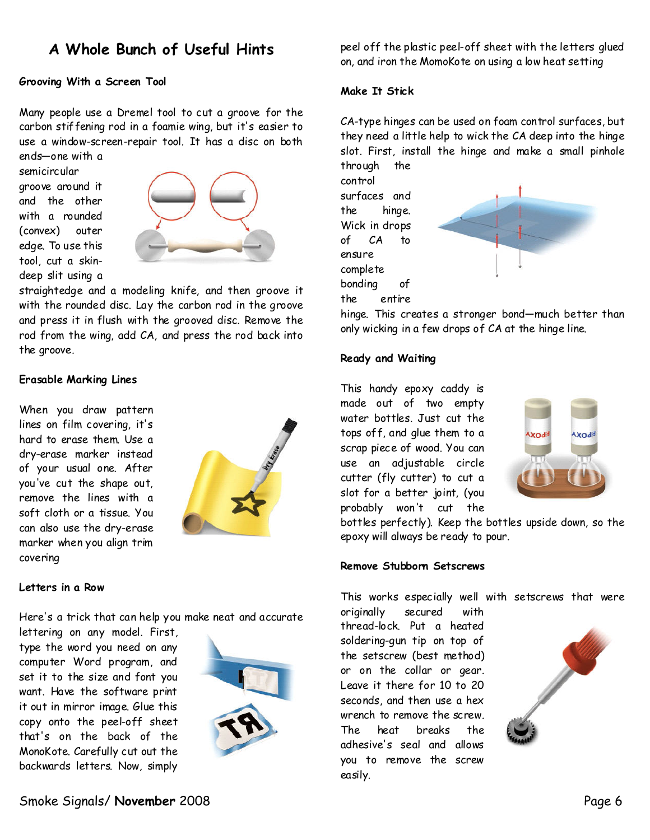# **A Whole Bunch of Useful Hints**

### **Grooving With a Screen Tool**

Many people use a Dremel tool to cut a groove for the carbon stiffening rod in a foamie wing, but it's easier to use a window-screen-repair tool. It has a disc on both ends—one with a

semicircular groove around it and the other with a rounded (convex) outer edge. To use this tool, cut a skin deep slit using a



straightedge and a modeling knife, and then groove it with the rounded disc. Lay the carbon rod in the groove and press it in flush with the grooved disc. Remove the rod from the wing, add CA, and press the rod back into the groove.

#### **Erasable Marking Lines**

When you draw pattern lines on film covering, it's hard to erase them. Use a dry-erase marker instead of your usual one. After you've cut the shape out, remove the lines with a soft cloth or a tissue. You can also use the dry-erase marker when you align trim covering



#### **Letters in a Row**

Here's a trick that can help you make neat and accurate

lettering on any model. First, type the word you need on any computer Word program, and set it to the size and font you want. Have the software print it out in mirror image. Glue this copy onto the peel-off sheet that's on the back of the MonoKote. Carefully cut out the backwards letters. Now, simply



peel off the plastic peel-off sheet with the letters glued on, and iron the MomoKote on using a low heat setting

#### **Make It Stick**

CA-type hinges can be used on foam control surfaces, but they need a little help to wick the CA deep into the hinge slot. First, install the hinge and make a small pinhole through the

control surfaces and the hinge. Wick in drops of CA to ensure complete bonding of the entire



hinge. This creates a stronger bond—much better than only wicking in a few drops of CA at the hinge line.

#### **Ready and Waiting**

This handy epoxy caddy is made out of two empty water bottles. Just cut the tops of f, and glue them to a scrap piece of wood. You can use an adjustable circle cutter (fly cutter) to cut a slot for a better joint, (you probably won't cut the



bottles perfectly). Keep the bottles upside down, so the epoxy will always be ready to pour.

#### **Remove Stubborn Setscrews**

This works especially well with setscrews that were

originally secured with thread-lock. Put a heated soldering-gun tip on top of the setscrew (best method) or on the collar or gear. Leave it there for 10 to 20 seconds, and then use a hex wrench to remove the screw. The heat breaks the adhesive's seal and allows you to remove the screw easily.

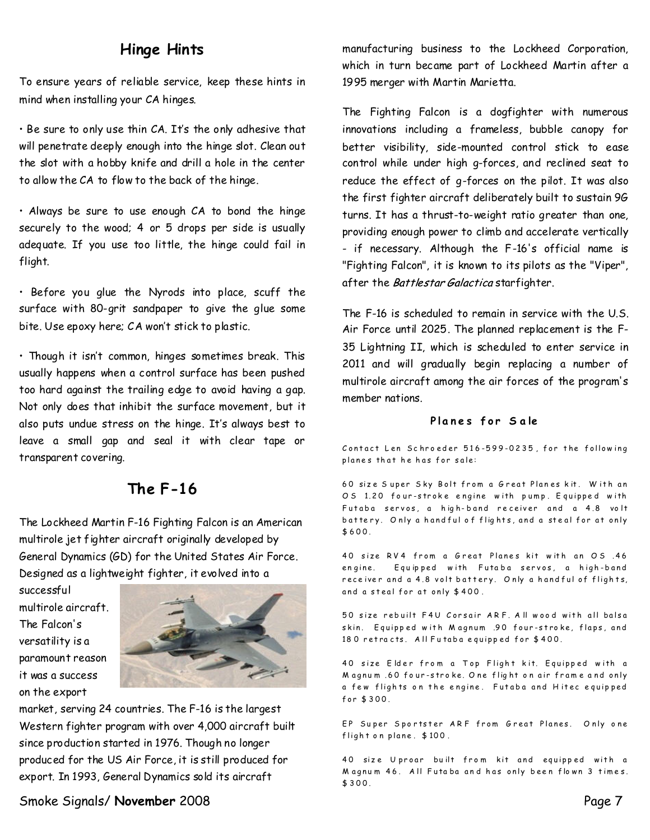# **Hinge Hints**

To ensure years of reliable service, keep these hints in mind when installing your CA hinges.

• Be sure to only use thin CA. It's the only adhesive that will penetrate deeply enough into the hinge slot. Clean out the slot with a hobby knife and drill a hole in the center to allow the CA to flow to the back of the hinge.

• Always be sure to use enough CA to bond the hinge securely to the wood; 4 or 5 drops per side is usually adequate. If you use too little, the hinge could fail in flight.

• Before you glue the Nyrods into place, scuff the surface with 80-grit sandpaper to give the glue some bite. Use epoxy here; CA won't stick to plastic.

• Though it isn't common, hinges sometimes break. This usually happens when a control surface has been pushed too hard against the trailing edge to avoid having a gap. Not only does that inhibit the surface movement, but it also puts undue stress on the hinge. It's always best to leave a small gap and seal it with clear tape or transparent covering.

## **The F-16**

The Lockheed Martin F-16 Fighting Falcon is an American multirole jet fighter aircraft originally developed by General Dynamics (GD) for the United States Air Force. Designed as a lightweight fighter, it evolved into a

successful multirole aircraft. The Falcon's versatility is a paramount reason it was a success on the export



market, serving 24 countries. The F-16 is the largest Western fighter program with over 4,000 aircraft built since production started in 1976. Though no longer produced for the US Air Force, it is still produced for export. In 1993, General Dynamics sold its aircraft

manufacturing business to the Lockheed Corporation, which in turn became part of Lockheed Martin after a 1995 merger with Martin Marietta.

The Fighting Falcon is a dogfighter with numerous innovations including a frameless, bubble canopy for better visibility, side-mounted control stick to ease control while under high g-forces, and reclined seat to reduce the effect of g-forces on the pilot. It was also the first fighter aircraft deliberately built to sustain 9G turns. It has a thrust-to-weight ratio greater than one, providing enough power to climb and accelerate vertically - if necessary. Although the F-16's official name is "Fighting Falcon", it is known to its pilots as the "Viper", after the Battlestar Galactica starfighter.

The F-16 is scheduled to remain in service with the U.S. Air Force until 2025. The planned replacement is the F- 35 Lightning II, which is scheduled to enter service in 2011 and will gradually begin replacing a number of multirole aircraft among the air forces of the program's member nations.

### Planes for Sale

Contact Len Schroeder  $516 - 599 - 0235$ , for the following planes that he has for sale:

60 size Super Sky Bolt from a Great Planes kit. With an O S 1.20 four-stroke engine with pump. Equipped with Futaba servos, a high-band receiver and a 4.8 volt battery. Only a hand ful of flights, and a steal for at only  $$600.$ 

40 size RV4 from a Great Planes kit with an OS .46 engine. Equipped with Futaba servos, a high-band rece iver and a 4.8 volt battery. Only a hand ful of flights, and a steal for at only \$400.

50 size rebuilt F4U Corsair ARF. All wood with all balsa skin. Equipped with Magnum .90 four-stroke, flaps, and 180 retracts. All Futaba equipped for \$400.

40 size Elder from a Top Flight kit. Equipped with a Magnum .60 four-stroke. One flight on air frame and only a few flights on the engine. Futaba and Hitec equipped  $for $300.$ 

EP Super Sportster ARF from Great Planes. Only one  $flight$  on plane.  $$100$ .

40 size Uproar built from kit and equipped with a Magnum 46. All Futaba and has only been flown 3 times. \$ 3 0 0 .

Smoke Signals/ **November** 2008 **Page 7**